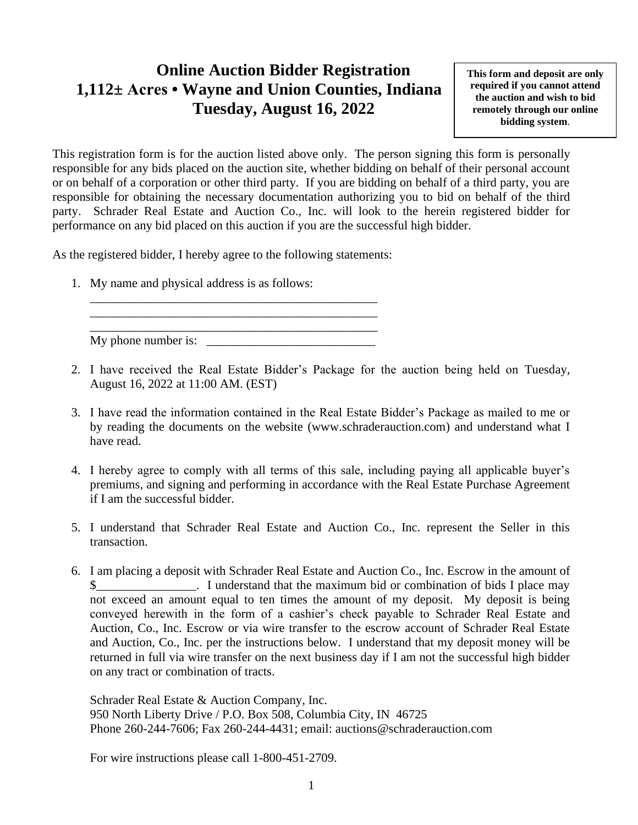## **Online Auction Bidder Registration 1,112± Acres • Wayne and Union Counties, Indiana Tuesday, August 16, 2022**

**This form and deposit are only required if you cannot attend the auction and wish to bid remotely through our online bidding system**.

This registration form is for the auction listed above only. The person signing this form is personally responsible for any bids placed on the auction site, whether bidding on behalf of their personal account or on behalf of a corporation or other third party. If you are bidding on behalf of a third party, you are responsible for obtaining the necessary documentation authorizing you to bid on behalf of the third party. Schrader Real Estate and Auction Co., Inc. will look to the herein registered bidder for performance on any bid placed on this auction if you are the successful high bidder.

As the registered bidder, I hereby agree to the following statements:

\_\_\_\_\_\_\_\_\_\_\_\_\_\_\_\_\_\_\_\_\_\_\_\_\_\_\_\_\_\_\_\_\_\_\_\_\_\_\_\_\_\_\_\_\_\_ \_\_\_\_\_\_\_\_\_\_\_\_\_\_\_\_\_\_\_\_\_\_\_\_\_\_\_\_\_\_\_\_\_\_\_\_\_\_\_\_\_\_\_\_\_\_

1. My name and physical address is as follows:

\_\_\_\_\_\_\_\_\_\_\_\_\_\_\_\_\_\_\_\_\_\_\_\_\_\_\_\_\_\_\_\_\_\_\_\_\_\_\_\_\_\_\_\_\_\_  $Mv$  phone number is:

- 2. I have received the Real Estate Bidder's Package for the auction being held on Tuesday, August 16, 2022 at 11:00 AM. (EST)
- 3. I have read the information contained in the Real Estate Bidder's Package as mailed to me or by reading the documents on the website (www.schraderauction.com) and understand what I have read.
- 4. I hereby agree to comply with all terms of this sale, including paying all applicable buyer's premiums, and signing and performing in accordance with the Real Estate Purchase Agreement if I am the successful bidder.
- 5. I understand that Schrader Real Estate and Auction Co., Inc. represent the Seller in this transaction.
- 6. I am placing a deposit with Schrader Real Estate and Auction Co., Inc. Escrow in the amount of I understand that the maximum bid or combination of bids I place may not exceed an amount equal to ten times the amount of my deposit. My deposit is being conveyed herewith in the form of a cashier's check payable to Schrader Real Estate and Auction, Co., Inc. Escrow or via wire transfer to the escrow account of Schrader Real Estate and Auction, Co., Inc. per the instructions below. I understand that my deposit money will be returned in full via wire transfer on the next business day if I am not the successful high bidder on any tract or combination of tracts.

Schrader Real Estate & Auction Company, Inc. 950 North Liberty Drive / P.O. Box 508, Columbia City, IN 46725 Phone 260-244-7606; Fax 260-244-4431; email: auctions@schraderauction.com

For wire instructions please call 1-800-451-2709.